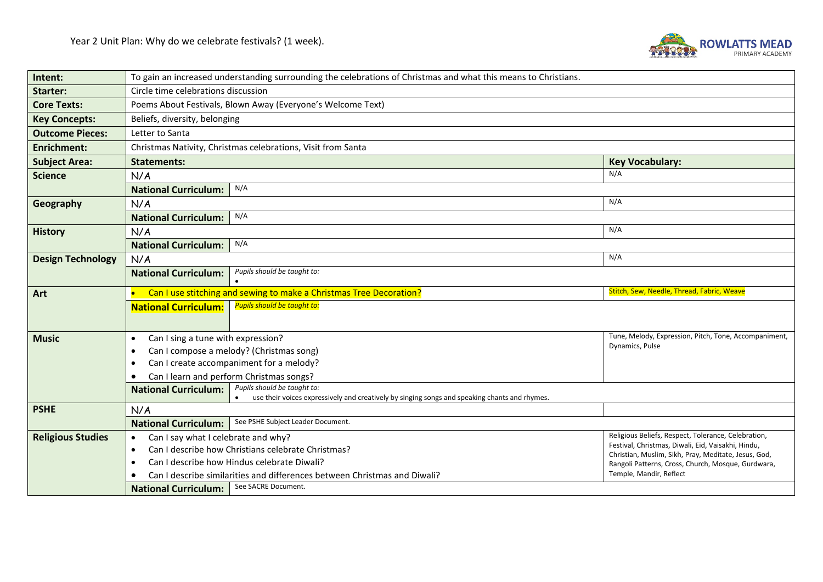

| Intent:                  | To gain an increased understanding surrounding the celebrations of Christmas and what this means to Christians. |                                                                                                  |                                                                                                            |  |  |  |
|--------------------------|-----------------------------------------------------------------------------------------------------------------|--------------------------------------------------------------------------------------------------|------------------------------------------------------------------------------------------------------------|--|--|--|
| Starter:                 | Circle time celebrations discussion                                                                             |                                                                                                  |                                                                                                            |  |  |  |
| <b>Core Texts:</b>       | Poems About Festivals, Blown Away (Everyone's Welcome Text)                                                     |                                                                                                  |                                                                                                            |  |  |  |
| <b>Key Concepts:</b>     | Beliefs, diversity, belonging                                                                                   |                                                                                                  |                                                                                                            |  |  |  |
| <b>Outcome Pieces:</b>   | Letter to Santa                                                                                                 |                                                                                                  |                                                                                                            |  |  |  |
| <b>Enrichment:</b>       | Christmas Nativity, Christmas celebrations, Visit from Santa                                                    |                                                                                                  |                                                                                                            |  |  |  |
| <b>Subject Area:</b>     | <b>Statements:</b>                                                                                              |                                                                                                  | <b>Key Vocabulary:</b>                                                                                     |  |  |  |
| <b>Science</b>           | N/A                                                                                                             |                                                                                                  | N/A                                                                                                        |  |  |  |
|                          | <b>National Curriculum:</b>                                                                                     | N/A                                                                                              |                                                                                                            |  |  |  |
| Geography                | N/A                                                                                                             |                                                                                                  | N/A                                                                                                        |  |  |  |
|                          | <b>National Curriculum:</b>                                                                                     | N/A                                                                                              |                                                                                                            |  |  |  |
| <b>History</b>           | N/A                                                                                                             |                                                                                                  | N/A                                                                                                        |  |  |  |
|                          | <b>National Curriculum:</b>                                                                                     | N/A                                                                                              |                                                                                                            |  |  |  |
| <b>Design Technology</b> | N/A                                                                                                             |                                                                                                  | N/A                                                                                                        |  |  |  |
|                          | Pupils should be taught to:<br><b>National Curriculum:</b>                                                      |                                                                                                  |                                                                                                            |  |  |  |
|                          |                                                                                                                 |                                                                                                  |                                                                                                            |  |  |  |
|                          |                                                                                                                 |                                                                                                  | Stitch, Sew, Needle, Thread, Fabric, Weave                                                                 |  |  |  |
| Art                      |                                                                                                                 | Can I use stitching and sewing to make a Christmas Tree Decoration?                              |                                                                                                            |  |  |  |
|                          | <b>National Curriculum:</b>                                                                                     | <b>Pupils should be taught to:</b>                                                               |                                                                                                            |  |  |  |
|                          |                                                                                                                 |                                                                                                  |                                                                                                            |  |  |  |
| <b>Music</b>             | Can I sing a tune with expression?<br>$\bullet$                                                                 |                                                                                                  | Tune, Melody, Expression, Pitch, Tone, Accompaniment,<br>Dynamics, Pulse                                   |  |  |  |
|                          | $\bullet$                                                                                                       | Can I compose a melody? (Christmas song)                                                         |                                                                                                            |  |  |  |
|                          |                                                                                                                 | Can I create accompaniment for a melody?                                                         |                                                                                                            |  |  |  |
|                          | Can I learn and perform Christmas songs?                                                                        | Pupils should be taught to:                                                                      |                                                                                                            |  |  |  |
|                          | <b>National Curriculum:</b>                                                                                     | use their voices expressively and creatively by singing songs and speaking chants and rhymes.    |                                                                                                            |  |  |  |
| <b>PSHE</b>              | N/A                                                                                                             |                                                                                                  |                                                                                                            |  |  |  |
|                          | <b>National Curriculum:</b>                                                                                     | See PSHE Subject Leader Document.                                                                |                                                                                                            |  |  |  |
| <b>Religious Studies</b> | Can I say what I celebrate and why?<br>$\bullet$                                                                |                                                                                                  | Religious Beliefs, Respect, Tolerance, Celebration,                                                        |  |  |  |
|                          | $\bullet$                                                                                                       | Can I describe how Christians celebrate Christmas?                                               | Festival, Christmas, Diwali, Eid, Vaisakhi, Hindu,<br>Christian, Muslim, Sikh, Pray, Meditate, Jesus, God, |  |  |  |
|                          | $\bullet$                                                                                                       | Can I describe how Hindus celebrate Diwali?                                                      | Rangoli Patterns, Cross, Church, Mosque, Gurdwara,                                                         |  |  |  |
|                          | <b>National Curriculum:</b>                                                                                     | Can I describe similarities and differences between Christmas and Diwali?<br>See SACRE Document. | Temple, Mandir, Reflect                                                                                    |  |  |  |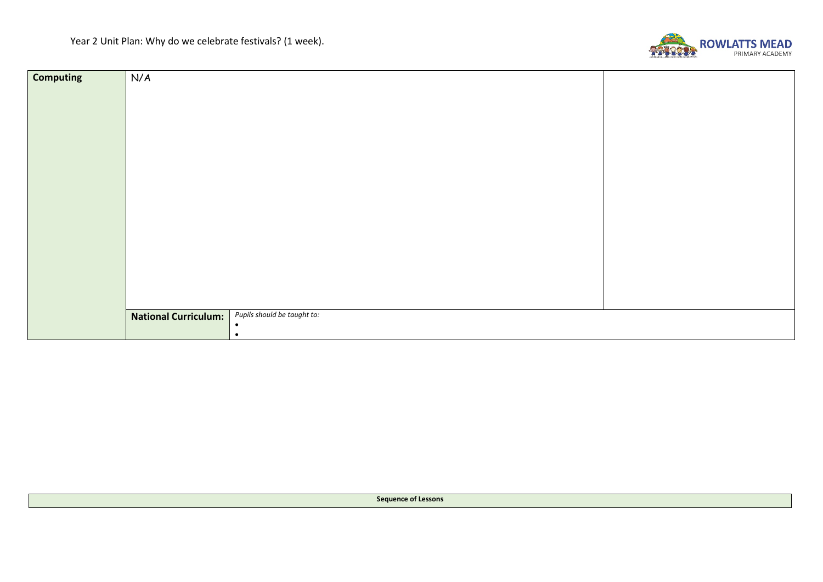

| <b>Computing</b> | N/A                         |                             |  |
|------------------|-----------------------------|-----------------------------|--|
|                  |                             |                             |  |
|                  |                             |                             |  |
|                  |                             |                             |  |
|                  |                             |                             |  |
|                  |                             |                             |  |
|                  |                             |                             |  |
|                  |                             |                             |  |
|                  |                             |                             |  |
|                  |                             |                             |  |
|                  |                             |                             |  |
|                  |                             |                             |  |
|                  |                             |                             |  |
|                  |                             |                             |  |
|                  |                             |                             |  |
|                  |                             |                             |  |
|                  |                             |                             |  |
|                  | <b>National Curriculum:</b> | Pupils should be taught to: |  |
|                  |                             | $\bullet$<br>$\bullet$      |  |